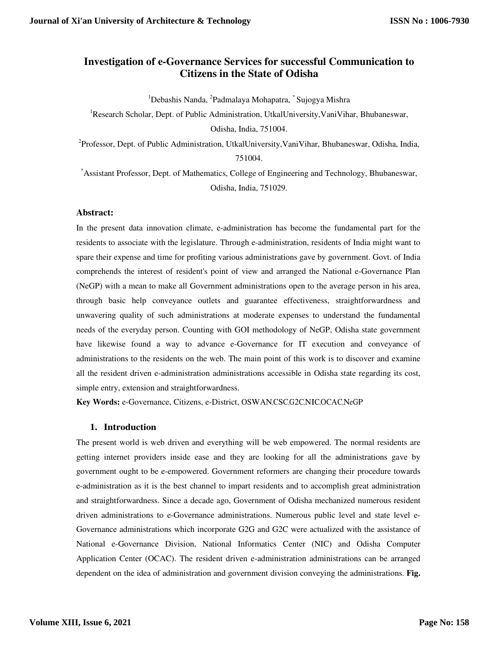# **Investigation of e-Governance Services for successful Communication to Citizens in the State of Odisha**

<sup>1</sup>Debashis Nanda, <sup>2</sup>Padmalaya Mohapatra, <sup>\*</sup> Sujogya Mishra

<sup>1</sup>Research Scholar, Dept. of Public Administration, UtkalUniversity,VaniVihar, Bhubaneswar, Odisha, India, 751004.

<sup>2</sup>Professor, Dept. of Public Administration, UtkalUniversity, VaniVihar, Bhubaneswar, Odisha, India, 751004.

\*Assistant Professor, Dept. of Mathematics, College of Engineering and Technology, Bhubaneswar, Odisha, India, 751029.

#### **Abstract:**

In the present data innovation climate, e-administration has become the fundamental part for the residents to associate with the legislature. Through e-administration, residents of India might want to spare their expense and time for profiting various administrations gave by government. Govt. of India comprehends the interest of resident's point of view and arranged the National e-Governance Plan (NeGP) with a mean to make all Government administrations open to the average person in his area, through basic help conveyance outlets and guarantee effectiveness, straightforwardness and unwavering quality of such administrations at moderate expenses to understand the fundamental needs of the everyday person. Counting with GOI methodology of NeGP, Odisha state government have likewise found a way to advance e-Governance for IT execution and conveyance of administrations to the residents on the web. The main point of this work is to discover and examine all the resident driven e-administration administrations accessible in Odisha state regarding its cost, simple entry, extension and straightforwardness.

**Key Words:** e-Governance, Citizens, e-District, OSWAN,CSC,G2C,NIC,OCAC,NeGP

#### **1. Introduction**

The present world is web driven and everything will be web empowered. The normal residents are getting internet providers inside ease and they are looking for all the administrations gave by government ought to be e-empowered. Government reformers are changing their procedure towards e-administration as it is the best channel to impart residents and to accomplish great administration and straightforwardness. Since a decade ago, Government of Odisha mechanized numerous resident driven administrations to e-Governance administrations. Numerous public level and state level e-Governance administrations which incorporate G2G and G2C were actualized with the assistance of National e-Governance Division, National Informatics Center (NIC) and Odisha Computer Application Center (OCAC). The resident driven e-administration administrations can be arranged dependent on the idea of administration and government division conveying the administrations. **Fig.**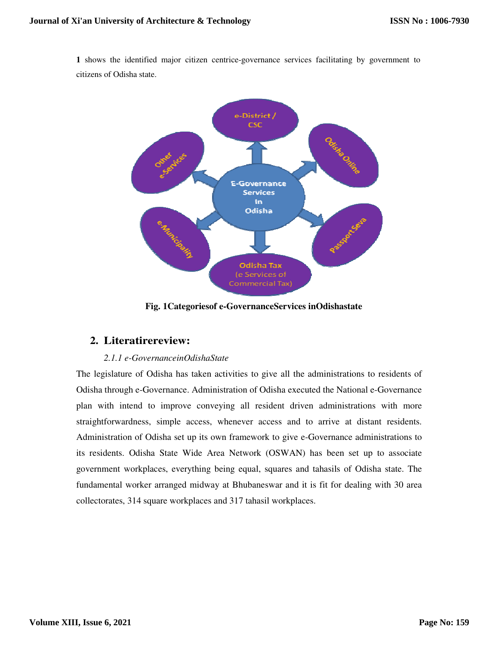**1** shows the identified major citizen centrice-governance services facilitating by government to citizens of Odisha state.



**Fig. 1Categoriesof e-GovernanceServices inOdishastate** 

# **2. Literatirereview:**

## *2.1.1 e-GovernanceinOdishaState*

The legislature of Odisha has taken activities to give all the administrations to residents of Odisha through e-Governance. Administration of Odisha executed the National e-Governance plan with intend to improve conveying all resident driven administrations with more straightforwardness, simple access, whenever access and to arrive at distant residents. Administration of Odisha set up its own framework to give e-Governance administrations to its residents. Odisha State Wide Area Network (OSWAN) has been set up to associate government workplaces, everything being equal, squares and tahasils of Odisha state. The fundamental worker arranged midway at Bhubaneswar and it is fit for dealing with 30 area collectorates, 314 square workplaces and 317 tahasil workplaces.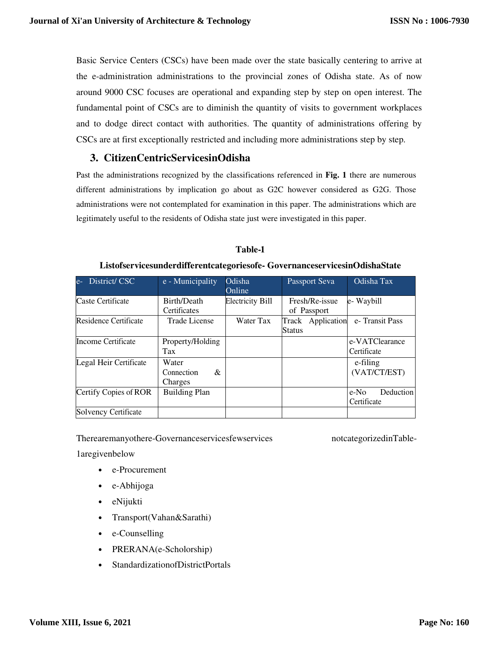Basic Service Centers (CSCs) have been made over the state basically centering to arrive at the e-administration administrations to the provincial zones of Odisha state. As of now around 9000 CSC focuses are operational and expanding step by step on open interest. The fundamental point of CSCs are to diminish the quantity of visits to government workplaces and to dodge direct contact with authorities. The quantity of administrations offering by CSCs are at first exceptionally restricted and including more administrations step by step.

## **3. CitizenCentricServicesinOdisha**

Past the administrations recognized by the classifications referenced in **Fig. 1** there are numerous different administrations by implication go about as G2C however considered as G2G. Those administrations were not contemplated for examination in this paper. The administrations which are legitimately useful to the residents of Odisha state just were investigated in this paper.

| District/CSC<br>$e-$         | e - Municipality                                              | Odisha<br>Online        | Passport Seva                      | Odisha Tax                       |
|------------------------------|---------------------------------------------------------------|-------------------------|------------------------------------|----------------------------------|
| Caste Certificate            | Birth/Death<br>Certificates                                   | <b>Electricity Bill</b> | Fresh/Re-issue<br>of Passport      | e- Waybill                       |
| <b>Residence Certificate</b> | Trade License                                                 | Water Tax               | Track Application<br><b>Status</b> | e-Transit Pass                   |
| <b>Income Certificate</b>    | Property/Holding<br>Tax                                       |                         |                                    | e-VATClearance<br>Certificate    |
| Legal Heir Certificate       | Water<br>Connection<br>$\mathcal{R}_{\mathcal{L}}$<br>Charges |                         |                                    | e-filing<br>(VAT/CT/EST)         |
| Certify Copies of ROR        | <b>Building Plan</b>                                          |                         |                                    | Deduction<br>e-No<br>Certificate |
| <b>Solvency Certificate</b>  |                                                               |                         |                                    |                                  |

#### **Table-1**

**Listofservicesunderdifferentcategoriesofe- GovernanceservicesinOdishaState** 

Therearemanyothere-Governanceservicesfewservices notcategorizedinTable-

1aregivenbelow

- e-Procurement
- e-Abhijoga
- eNijukti
- Transport(Vahan&Sarathi)
- e-Counselling
- PRERANA(e-Scholorship)
- StandardizationofDistrictPortals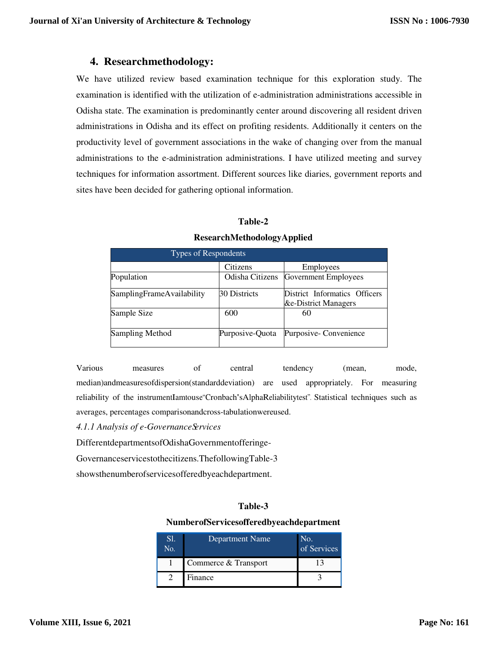## **4. Researchmethodology:**

We have utilized review based examination technique for this exploration study. The examination is identified with the utilization of e-administration administrations accessible in Odisha state. The examination is predominantly center around discovering all resident driven administrations in Odisha and its effect on profiting residents. Additionally it centers on the productivity level of government associations in the wake of changing over from the manual administrations to the e-administration administrations. I have utilized meeting and survey techniques for information assortment. Different sources like diaries, government reports and sites have been decided for gathering optional information.

## **Table-2**

| <b>Types of Respondents</b> |                 |                                                       |  |  |  |
|-----------------------------|-----------------|-------------------------------------------------------|--|--|--|
|                             | Citizens        | Employees                                             |  |  |  |
| Population                  | Odisha Citizens | Government Employees                                  |  |  |  |
| SamplingFrameAvailability   | 30 Districts    | District Informatics Officers<br>&e-District Managers |  |  |  |
| Sample Size                 | 600             | 60                                                    |  |  |  |
| Sampling Method             | Purposive-Quota | Purposive-Convenience                                 |  |  |  |

#### **ResearchMethodologyApplied**

Various measures of central tendency (mean, mode, median)andmeasuresofdispersion(standarddeviation) are used appropriately. For measuring reliability of the instrumentIamtouse"Cronbach'sAlphaReliabilitytest". Statistical techniques such as averages, percentages comparisonandcross-tabulationwereused.

*4.1.1 Analysis of e-Governance Services* 

DifferentdepartmentsofOdishaGovernmentofferinge-

Governanceservicestothecitizens.ThefollowingTable-3

showsthenumberofservicesofferedbyeachdepartment.

## **Table-3**

#### **NumberofServicesofferedbyeachdepartment**

| Sl.<br>No. | Department Name      | No.<br>of Services |
|------------|----------------------|--------------------|
|            | Commerce & Transport |                    |
|            | Finance              |                    |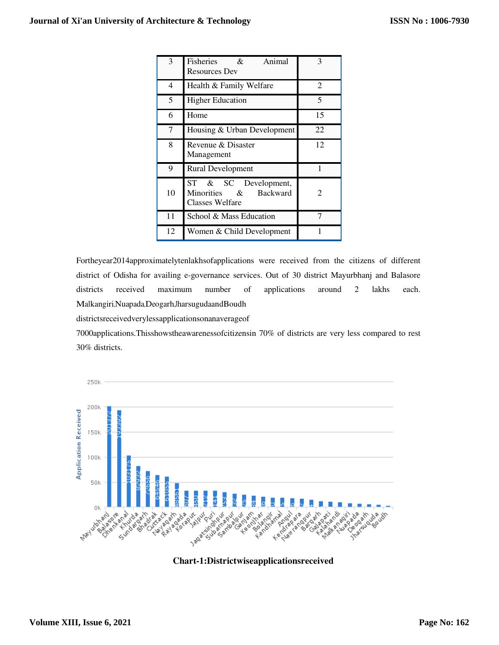| 3  | Fisheries<br>Animal<br>$\alpha$<br><b>Resources Dev</b>                       | 3  |
|----|-------------------------------------------------------------------------------|----|
| 4  | Health & Family Welfare                                                       | 2  |
| 5  | <b>Higher Education</b>                                                       | 5  |
| 6  | Home                                                                          | 15 |
| 7  | Housing & Urban Development                                                   | 22 |
| 8  | Revenue & Disaster<br>Management                                              | 12 |
| 9  | <b>Rural Development</b>                                                      |    |
| 10 | SC Development,<br>ST<br>&<br>Minorities & Backward<br><b>Classes Welfare</b> | 2  |
| 11 | School & Mass Education                                                       | 7  |
| 12 | Women & Child Development                                                     |    |

Fortheyear2014approximatelytenlakhsofapplications were received from the citizens of different district of Odisha for availing e-governance services. Out of 30 district Mayurbhanj and Balasore districts received maximum number of applications around 2 lakhs each. Malkangiri,Nuapada,Deogarh,JharsugudaandBoudh

districtsreceivedverylessapplicationsonanaverageof

7000applications.Thisshowstheawarenessofcitizensin 70% of districts are very less compared to rest 30% districts.



**Chart-1:Districtwiseapplicationsreceived**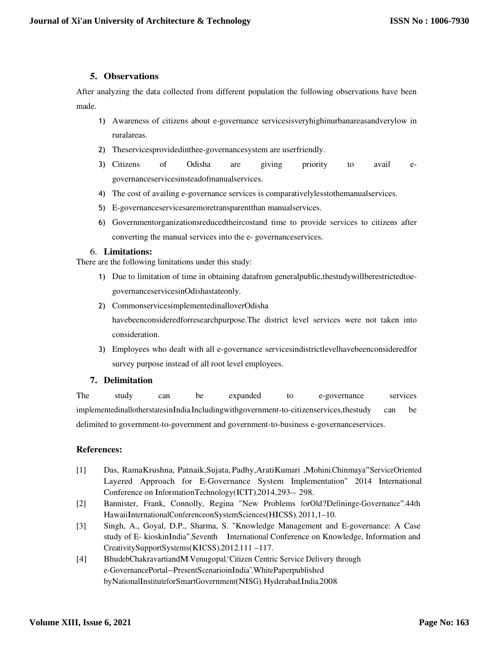## **5. Observations**

After analyzing the data collected from different population the following observations have been made.

- 1) Awareness of citizens about e-governance servicesisveryhighinurbanareasandverylow in ruralareas.
- 2) Theservicesprovidedinthee-governancesystem are userfriendly.
- 3) Citizens of Odisha are giving priority to avail egovernanceservicesinsteadofmanualservices.
- 4) The cost of availing e-governance services is comparativelylesstothemanualservices.
- 5) E-governanceservicesaremoretransparentthan manualservices.
- 6) Governmentorganizationsreducedtheircostand time to provide services to citizens after converting the manual services into the e- governanceservices.

## 6. **Limitations:**

There are the following limitations under this study:

- 1) Due to limitation of time in obtaining datafrom generalpublic,thestudywillberestrictedtoegovernanceservicesinOdishastateonly.
- 2) CommonservicesimplementedinalloverOdisha

havebeenconsideredforresearchpurpose.The district level services were not taken into consideration.

3) Employees who dealt with all e-governance servicesindistrictlevelhavebeenconsideredfor survey purpose instead of all root level employees.

## **7. Delimitation**

The study can be expanded to e-governance services implementedinallotherstatesinIndia.Includingwithgovernment-to-citizenservices,thestudy can be delimited to government-to-government and government-to-business e-governanceservices.

## **References:**

- [1] Das, RamaKrushna, Patnaik,Sujata, Padhy,AratiKumari ,Mohini,Chinmaya"ServiceOriented Layered Approach for E-Governance System Implementation" 2014 International Conference on InformationTechnology(ICIT),2014,293– 298.
- [2] Bannister, Frank, Connolly, Regina "New Problems forOld?Defininge-Governance",44th HawaiiInternationalConferenceonSystemSciences(HICSS), 2011,1–10.
- [3] Singh, A., Goyal, D.P., Sharma, S. "Knowledge Management and E-governance: A Case study of E- kioskinIndia",Seventh International Conference on Knowledge, Information and CreativitySupportSystems(KICSS),2012,111 –117.
- [4] BhudebChakravartiandM.Venugopal,"Citizen Centric Service Delivery through e-GovernancePortal–PresentScenarioinIndia",WhitePaperpublished byNationalInstituteforSmartGovernment(NISG), Hyderabad,India,2008.